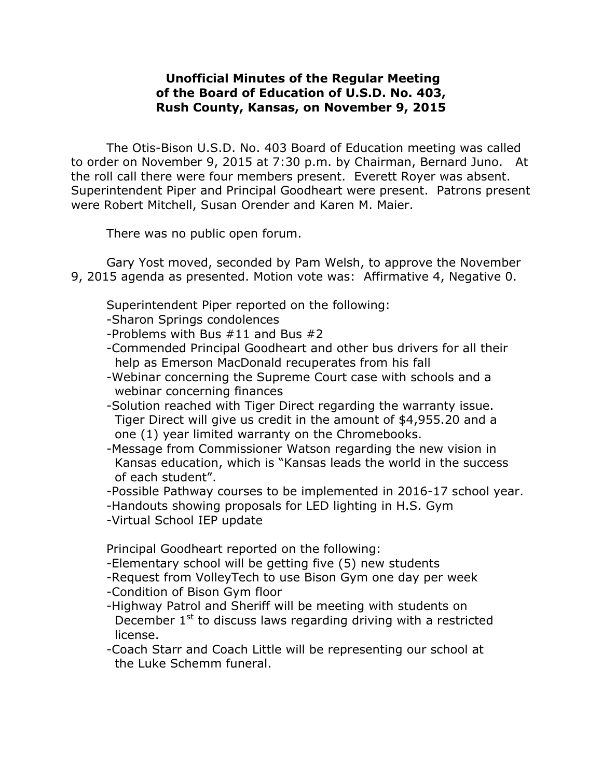## **Unofficial Minutes of the Regular Meeting of the Board of Education of U.S.D. No. 403, Rush County, Kansas, on November 9, 2015**

The Otis-Bison U.S.D. No. 403 Board of Education meeting was called to order on November 9, 2015 at 7:30 p.m. by Chairman, Bernard Juno. At the roll call there were four members present. Everett Royer was absent. Superintendent Piper and Principal Goodheart were present. Patrons present were Robert Mitchell, Susan Orender and Karen M. Maier.

There was no public open forum.

Gary Yost moved, seconded by Pam Welsh, to approve the November 9, 2015 agenda as presented. Motion vote was: Affirmative 4, Negative 0.

Superintendent Piper reported on the following:

-Sharon Springs condolences

-Problems with Bus #11 and Bus #2

- -Commended Principal Goodheart and other bus drivers for all their help as Emerson MacDonald recuperates from his fall
- -Webinar concerning the Supreme Court case with schools and a webinar concerning finances
- -Solution reached with Tiger Direct regarding the warranty issue. Tiger Direct will give us credit in the amount of \$4,955.20 and a one (1) year limited warranty on the Chromebooks.
- -Message from Commissioner Watson regarding the new vision in Kansas education, which is "Kansas leads the world in the success of each student".
- -Possible Pathway courses to be implemented in 2016-17 school year.
- -Handouts showing proposals for LED lighting in H.S. Gym
- -Virtual School IEP update

Principal Goodheart reported on the following:

- -Elementary school will be getting five (5) new students
- -Request from VolleyTech to use Bison Gym one day per week
- -Condition of Bison Gym floor
- -Highway Patrol and Sheriff will be meeting with students on December 1<sup>st</sup> to discuss laws regarding driving with a restricted license.
- -Coach Starr and Coach Little will be representing our school at the Luke Schemm funeral.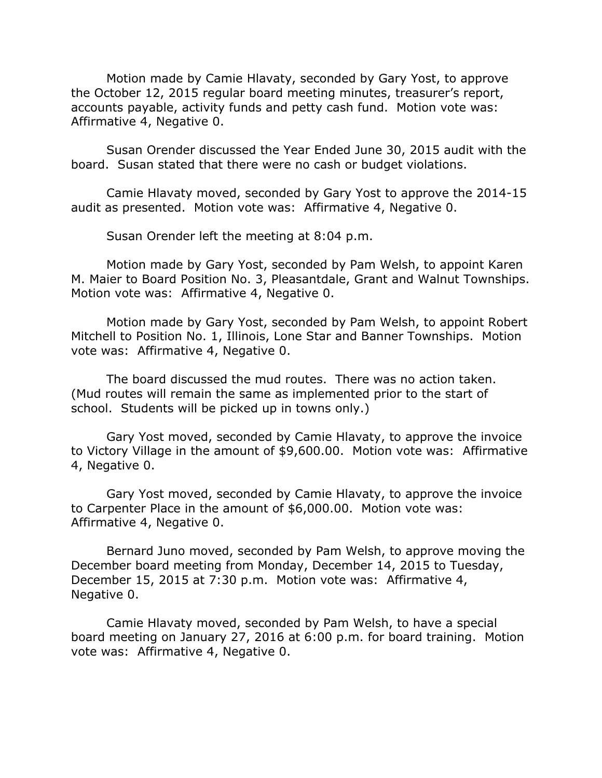Motion made by Camie Hlavaty, seconded by Gary Yost, to approve the October 12, 2015 regular board meeting minutes, treasurer's report, accounts payable, activity funds and petty cash fund. Motion vote was: Affirmative 4, Negative 0.

Susan Orender discussed the Year Ended June 30, 2015 audit with the board. Susan stated that there were no cash or budget violations.

Camie Hlavaty moved, seconded by Gary Yost to approve the 2014-15 audit as presented. Motion vote was: Affirmative 4, Negative 0.

Susan Orender left the meeting at 8:04 p.m.

Motion made by Gary Yost, seconded by Pam Welsh, to appoint Karen M. Maier to Board Position No. 3, Pleasantdale, Grant and Walnut Townships. Motion vote was: Affirmative 4, Negative 0.

Motion made by Gary Yost, seconded by Pam Welsh, to appoint Robert Mitchell to Position No. 1, Illinois, Lone Star and Banner Townships. Motion vote was: Affirmative 4, Negative 0.

The board discussed the mud routes. There was no action taken. (Mud routes will remain the same as implemented prior to the start of school. Students will be picked up in towns only.)

Gary Yost moved, seconded by Camie Hlavaty, to approve the invoice to Victory Village in the amount of \$9,600.00. Motion vote was: Affirmative 4, Negative 0.

Gary Yost moved, seconded by Camie Hlavaty, to approve the invoice to Carpenter Place in the amount of \$6,000.00. Motion vote was: Affirmative 4, Negative 0.

Bernard Juno moved, seconded by Pam Welsh, to approve moving the December board meeting from Monday, December 14, 2015 to Tuesday, December 15, 2015 at 7:30 p.m. Motion vote was: Affirmative 4, Negative 0.

Camie Hlavaty moved, seconded by Pam Welsh, to have a special board meeting on January 27, 2016 at 6:00 p.m. for board training. Motion vote was: Affirmative 4, Negative 0.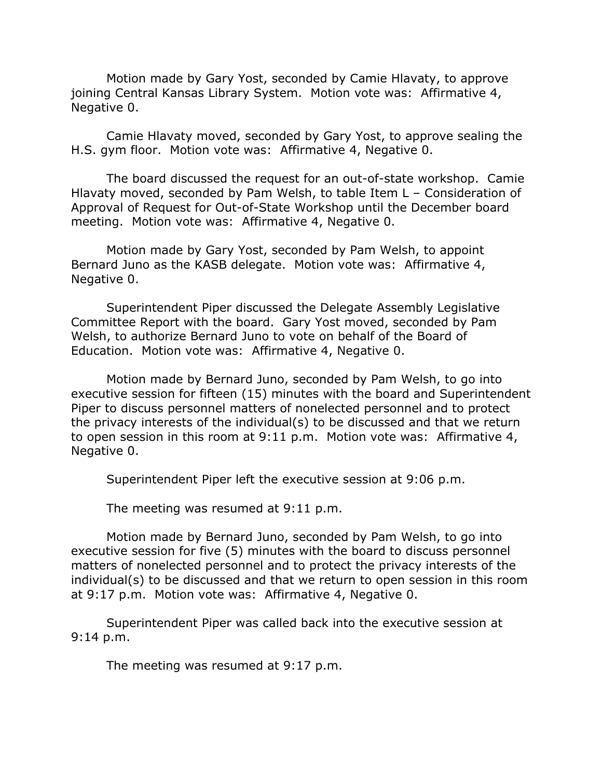Motion made by Gary Yost, seconded by Camie Hlavaty, to approve joining Central Kansas Library System. Motion vote was: Affirmative 4, Negative 0.

Camie Hlavaty moved, seconded by Gary Yost, to approve sealing the H.S. gym floor. Motion vote was: Affirmative 4, Negative 0.

The board discussed the request for an out-of-state workshop. Camie Hlavaty moved, seconded by Pam Welsh, to table Item L – Consideration of Approval of Request for Out-of-State Workshop until the December board meeting. Motion vote was: Affirmative 4, Negative 0.

Motion made by Gary Yost, seconded by Pam Welsh, to appoint Bernard Juno as the KASB delegate. Motion vote was: Affirmative 4, Negative 0.

Superintendent Piper discussed the Delegate Assembly Legislative Committee Report with the board. Gary Yost moved, seconded by Pam Welsh, to authorize Bernard Juno to vote on behalf of the Board of Education. Motion vote was: Affirmative 4, Negative 0.

Motion made by Bernard Juno, seconded by Pam Welsh, to go into executive session for fifteen (15) minutes with the board and Superintendent Piper to discuss personnel matters of nonelected personnel and to protect the privacy interests of the individual(s) to be discussed and that we return to open session in this room at 9:11 p.m. Motion vote was: Affirmative 4, Negative 0.

Superintendent Piper left the executive session at 9:06 p.m.

The meeting was resumed at 9:11 p.m.

Motion made by Bernard Juno, seconded by Pam Welsh, to go into executive session for five (5) minutes with the board to discuss personnel matters of nonelected personnel and to protect the privacy interests of the individual(s) to be discussed and that we return to open session in this room at 9:17 p.m. Motion vote was: Affirmative 4, Negative 0.

Superintendent Piper was called back into the executive session at 9:14 p.m.

The meeting was resumed at 9:17 p.m.